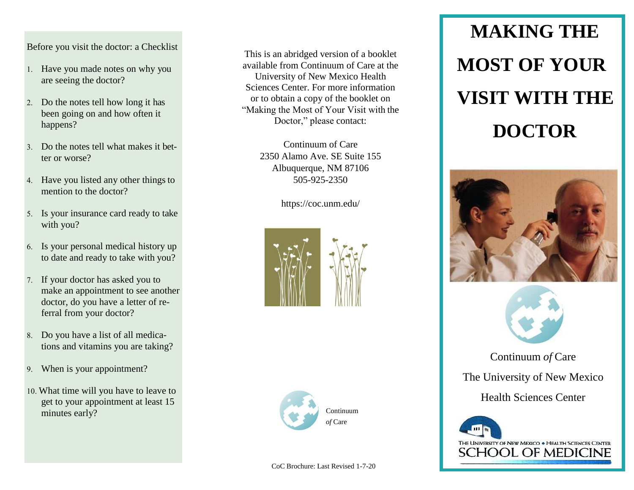## Before you visit the doctor: a Checklist

- 1. Have you made notes on why you are seeing the doctor?
- 2. Do the notes tell how long it has been going on and how often it happens?
- Do the notes tell what makes it better or worse?
- Have you listed any other things to mention to the doctor?
- Is your insurance card ready to take with you?
- Is your personal medical history up to date and ready to take with you?
- If your doctor has asked you to make an appointment to see another doctor, do you have a letter of referral from your doctor?
- Do you have a list of all medications and vitamins you are taking?
- When is your appointment?
- What time will you have to leave to get to your appointment at least 15 minutes early?

This is an abridged version of a booklet available from Continuum of Care at the University of New Mexico Health Sciences Center. For more information or to obtain a copy of the booklet on "Making the Most of Your Visit with the Doctor," please contact:

> Continuum of Care 2350 Alamo Ave. SE Suite 155 Albuquerque, NM 87106 505-925-2350

> > https://coc.unm.edu/





# **MAKING THE MOST OF YOUR VISIT WITH THE DOCTOR**





Continuum *of* Care

The University of New Mexico

Health Sciences Center